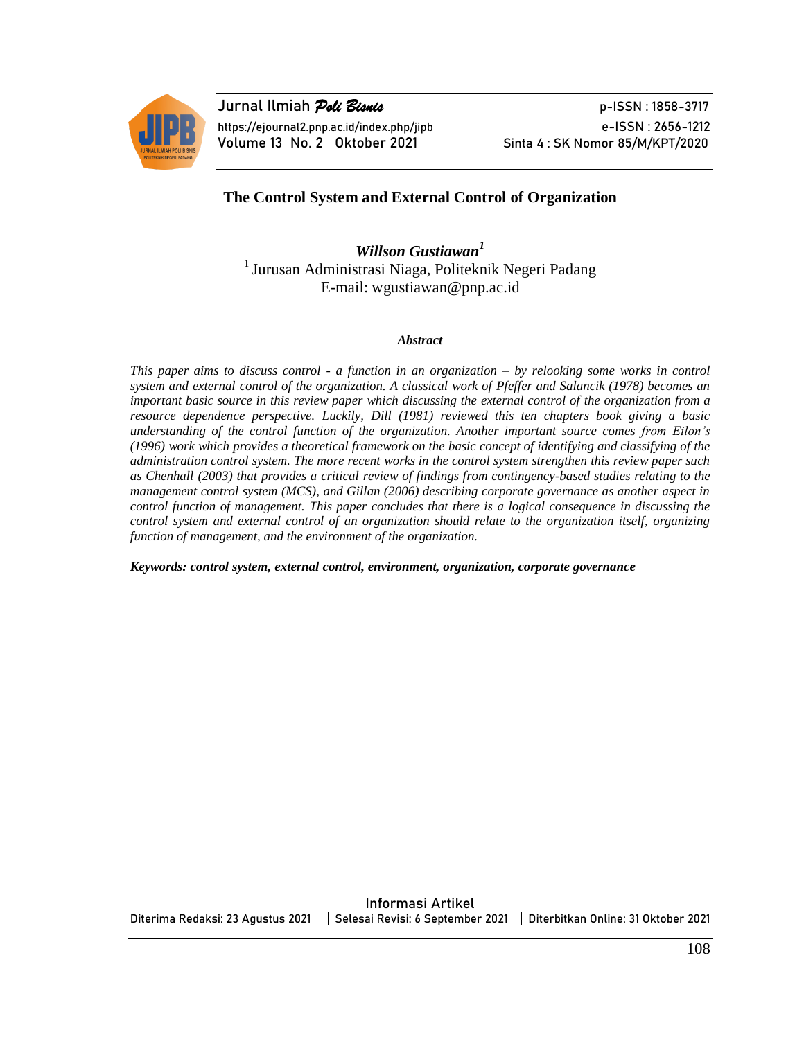

**Jurnal Ilmiah** *Poli Bisnis* p-ISSN : 1858-3717 https://ejournal2.pnp.ac.id/index.php/jipb e-ISSN : 2656-1212 Volume 13 No. 2 Oktober 2021 Sinta 4: SK Nomor 85/M/KPT/2020

### **The Control System and External Control of Organization**

*Willson Gustiawan<sup>1</sup>* <sup>1</sup> Jurusan Administrasi Niaga, Politeknik Negeri Padang E-mail: wgustiawan@pnp.ac.id

#### *Abstract*

*This paper aims to discuss control - a function in an organization – by relooking some works in control system and external control of the organization. A classical work of Pfeffer and Salancik (1978) becomes an important basic source in this review paper which discussing the external control of the organization from a resource dependence perspective. Luckily, Dill (1981) reviewed this ten chapters book giving a basic understanding of the control function of the organization. Another important source comes from Eilon's (1996) work which provides a theoretical framework on the basic concept of identifying and classifying of the administration control system. The more recent works in the control system strengthen this review paper such as Chenhall (2003) that provides a critical review of findings from contingency-based studies relating to the management control system (MCS), and Gillan (2006) describing corporate governance as another aspect in control function of management. This paper concludes that there is a logical consequence in discussing the control system and external control of an organization should relate to the organization itself, organizing function of management, and the environment of the organization.* 

*Keywords: control system, external control, environment, organization, corporate governance*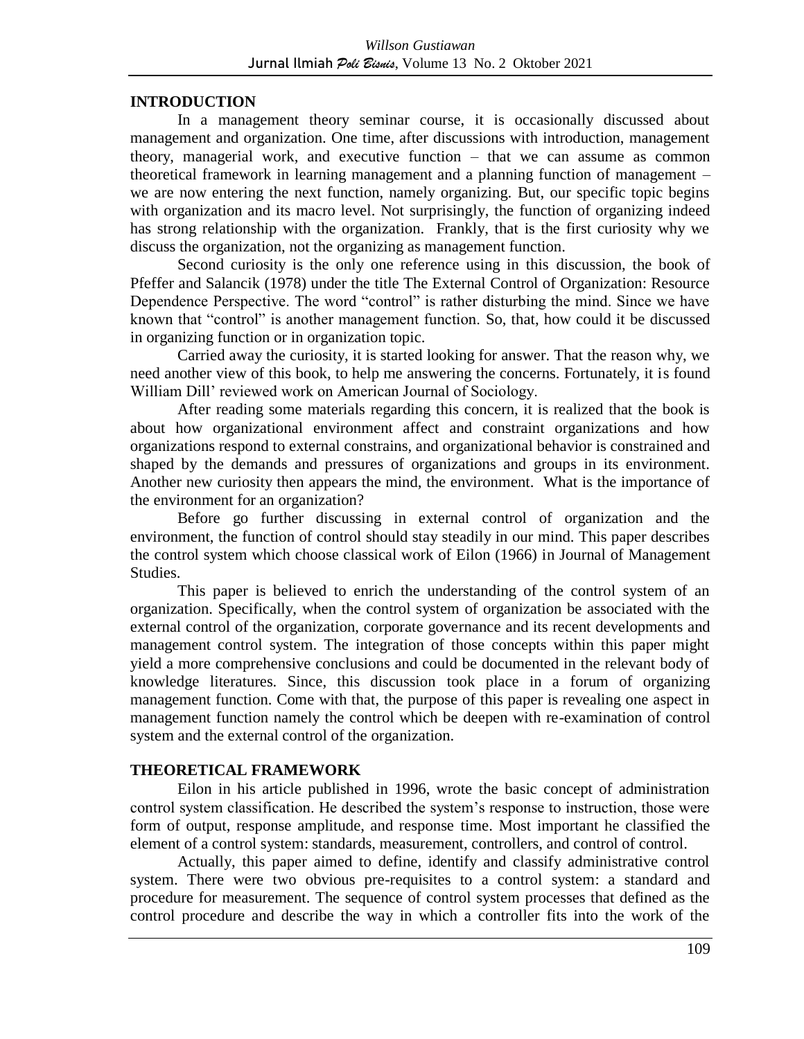#### **INTRODUCTION**

In a management theory seminar course, it is occasionally discussed about management and organization. One time, after discussions with introduction, management theory, managerial work, and executive function – that we can assume as common theoretical framework in learning management and a planning function of management – we are now entering the next function, namely organizing. But, our specific topic begins with organization and its macro level. Not surprisingly, the function of organizing indeed has strong relationship with the organization. Frankly, that is the first curiosity why we discuss the organization, not the organizing as management function.

Second curiosity is the only one reference using in this discussion, the book of Pfeffer and Salancik (1978) under the title The External Control of Organization: Resource Dependence Perspective. The word "control" is rather disturbing the mind. Since we have known that "control" is another management function. So, that, how could it be discussed in organizing function or in organization topic.

Carried away the curiosity, it is started looking for answer. That the reason why, we need another view of this book, to help me answering the concerns. Fortunately, it is found William Dill' reviewed work on American Journal of Sociology.

After reading some materials regarding this concern, it is realized that the book is about how organizational environment affect and constraint organizations and how organizations respond to external constrains, and organizational behavior is constrained and shaped by the demands and pressures of organizations and groups in its environment. Another new curiosity then appears the mind, the environment. What is the importance of the environment for an organization?

Before go further discussing in external control of organization and the environment, the function of control should stay steadily in our mind. This paper describes the control system which choose classical work of Eilon (1966) in Journal of Management Studies.

This paper is believed to enrich the understanding of the control system of an organization. Specifically, when the control system of organization be associated with the external control of the organization, corporate governance and its recent developments and management control system. The integration of those concepts within this paper might yield a more comprehensive conclusions and could be documented in the relevant body of knowledge literatures. Since, this discussion took place in a forum of organizing management function. Come with that, the purpose of this paper is revealing one aspect in management function namely the control which be deepen with re-examination of control system and the external control of the organization.

#### **THEORETICAL FRAMEWORK**

Eilon in his article published in 1996, wrote the basic concept of administration control system classification. He described the system's response to instruction, those were form of output, response amplitude, and response time. Most important he classified the element of a control system: standards, measurement, controllers, and control of control.

Actually, this paper aimed to define, identify and classify administrative control system. There were two obvious pre-requisites to a control system: a standard and procedure for measurement. The sequence of control system processes that defined as the control procedure and describe the way in which a controller fits into the work of the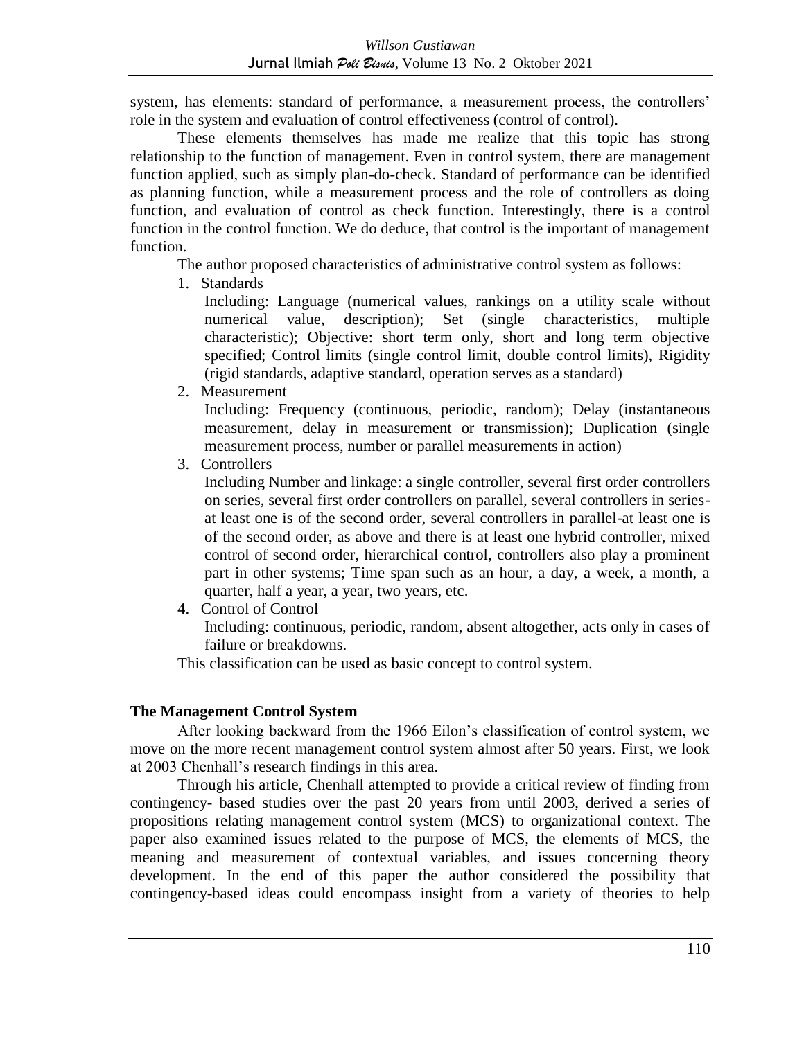system, has elements: standard of performance, a measurement process, the controllers' role in the system and evaluation of control effectiveness (control of control).

These elements themselves has made me realize that this topic has strong relationship to the function of management. Even in control system, there are management function applied, such as simply plan-do-check. Standard of performance can be identified as planning function, while a measurement process and the role of controllers as doing function, and evaluation of control as check function. Interestingly, there is a control function in the control function. We do deduce, that control is the important of management function.

The author proposed characteristics of administrative control system as follows:

1. Standards

Including: Language (numerical values, rankings on a utility scale without numerical value, description); Set (single characteristics, multiple characteristic); Objective: short term only, short and long term objective specified; Control limits (single control limit, double control limits), Rigidity (rigid standards, adaptive standard, operation serves as a standard)

2. Measurement

Including: Frequency (continuous, periodic, random); Delay (instantaneous measurement, delay in measurement or transmission); Duplication (single measurement process, number or parallel measurements in action)

3. Controllers

Including Number and linkage: a single controller, several first order controllers on series, several first order controllers on parallel, several controllers in seriesat least one is of the second order, several controllers in parallel-at least one is of the second order, as above and there is at least one hybrid controller, mixed control of second order, hierarchical control, controllers also play a prominent part in other systems; Time span such as an hour, a day, a week, a month, a quarter, half a year, a year, two years, etc.

4. Control of Control

Including: continuous, periodic, random, absent altogether, acts only in cases of failure or breakdowns.

This classification can be used as basic concept to control system.

## **The Management Control System**

After looking backward from the 1966 Eilon's classification of control system, we move on the more recent management control system almost after 50 years. First, we look at 2003 Chenhall's research findings in this area.

Through his article, Chenhall attempted to provide a critical review of finding from contingency- based studies over the past 20 years from until 2003, derived a series of propositions relating management control system (MCS) to organizational context. The paper also examined issues related to the purpose of MCS, the elements of MCS, the meaning and measurement of contextual variables, and issues concerning theory development. In the end of this paper the author considered the possibility that contingency-based ideas could encompass insight from a variety of theories to help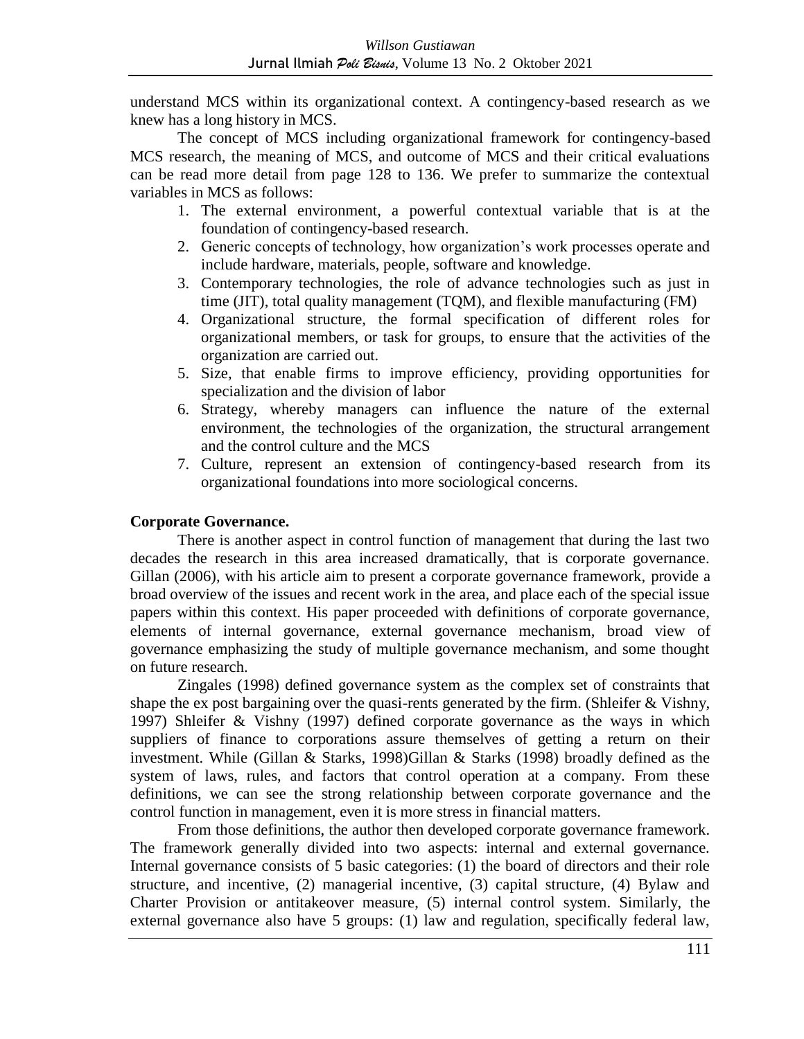understand MCS within its organizational context. A contingency-based research as we knew has a long history in MCS.

The concept of MCS including organizational framework for contingency-based MCS research, the meaning of MCS, and outcome of MCS and their critical evaluations can be read more detail from page 128 to 136. We prefer to summarize the contextual variables in MCS as follows:

- 1. The external environment, a powerful contextual variable that is at the foundation of contingency-based research.
- 2. Generic concepts of technology, how organization's work processes operate and include hardware, materials, people, software and knowledge.
- 3. Contemporary technologies, the role of advance technologies such as just in time (JIT), total quality management (TQM), and flexible manufacturing (FM)
- 4. Organizational structure, the formal specification of different roles for organizational members, or task for groups, to ensure that the activities of the organization are carried out.
- 5. Size, that enable firms to improve efficiency, providing opportunities for specialization and the division of labor
- 6. Strategy, whereby managers can influence the nature of the external environment, the technologies of the organization, the structural arrangement and the control culture and the MCS
- 7. Culture, represent an extension of contingency-based research from its organizational foundations into more sociological concerns.

#### **Corporate Governance.**

There is another aspect in control function of management that during the last two decades the research in this area increased dramatically, that is corporate governance. Gillan (2006), with his article aim to present a corporate governance framework, provide a broad overview of the issues and recent work in the area, and place each of the special issue papers within this context. His paper proceeded with definitions of corporate governance, elements of internal governance, external governance mechanism, broad view of governance emphasizing the study of multiple governance mechanism, and some thought on future research.

Zingales (1998) defined governance system as the complex set of constraints that shape the ex post bargaining over the quasi-rents generated by the firm. (Shleifer & Vishny, 1997) Shleifer & Vishny (1997) defined corporate governance as the ways in which suppliers of finance to corporations assure themselves of getting a return on their investment. While (Gillan & Starks, 1998)Gillan & Starks (1998) broadly defined as the system of laws, rules, and factors that control operation at a company. From these definitions, we can see the strong relationship between corporate governance and the control function in management, even it is more stress in financial matters.

From those definitions, the author then developed corporate governance framework. The framework generally divided into two aspects: internal and external governance. Internal governance consists of 5 basic categories: (1) the board of directors and their role structure, and incentive, (2) managerial incentive, (3) capital structure, (4) Bylaw and Charter Provision or antitakeover measure, (5) internal control system. Similarly, the external governance also have 5 groups: (1) law and regulation, specifically federal law,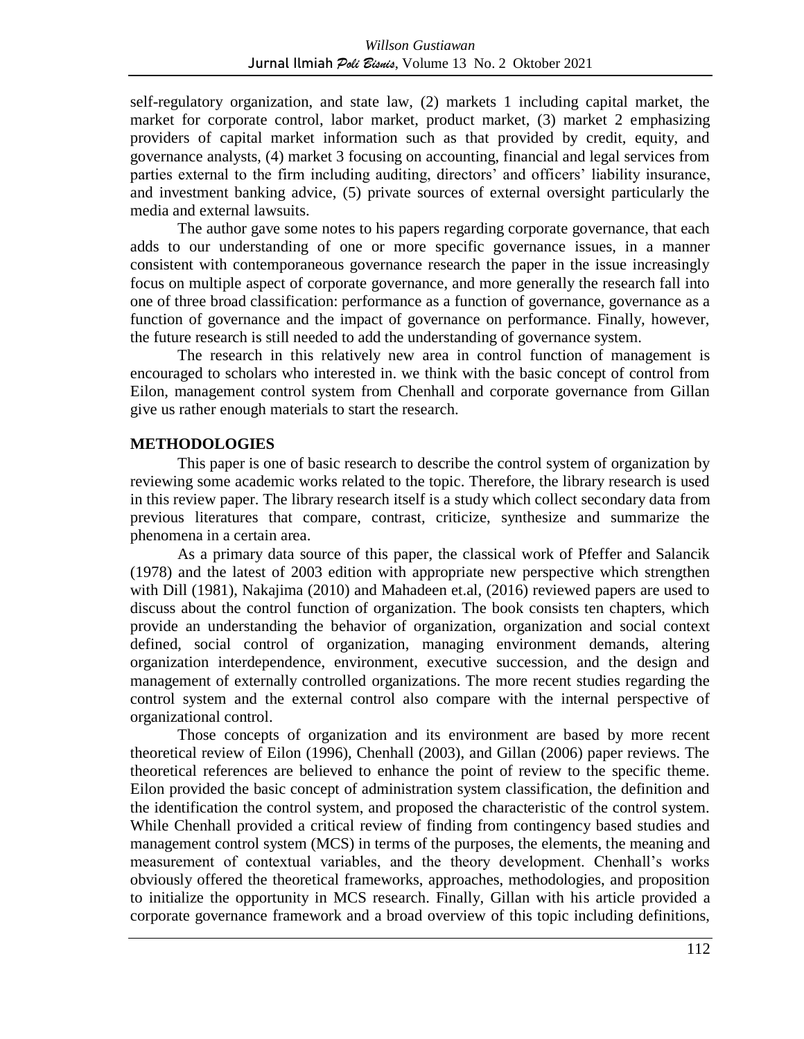self-regulatory organization, and state law, (2) markets 1 including capital market, the market for corporate control, labor market, product market, (3) market 2 emphasizing providers of capital market information such as that provided by credit, equity, and governance analysts, (4) market 3 focusing on accounting, financial and legal services from parties external to the firm including auditing, directors' and officers' liability insurance, and investment banking advice, (5) private sources of external oversight particularly the media and external lawsuits.

The author gave some notes to his papers regarding corporate governance, that each adds to our understanding of one or more specific governance issues, in a manner consistent with contemporaneous governance research the paper in the issue increasingly focus on multiple aspect of corporate governance, and more generally the research fall into one of three broad classification: performance as a function of governance, governance as a function of governance and the impact of governance on performance. Finally, however, the future research is still needed to add the understanding of governance system.

The research in this relatively new area in control function of management is encouraged to scholars who interested in. we think with the basic concept of control from Eilon, management control system from Chenhall and corporate governance from Gillan give us rather enough materials to start the research.

### **METHODOLOGIES**

This paper is one of basic research to describe the control system of organization by reviewing some academic works related to the topic. Therefore, the library research is used in this review paper. The library research itself is a study which collect secondary data from previous literatures that compare, contrast, criticize, synthesize and summarize the phenomena in a certain area.

As a primary data source of this paper, the classical work of Pfeffer and Salancik (1978) and the latest of 2003 edition with appropriate new perspective which strengthen with Dill (1981), Nakajima (2010) and Mahadeen et.al, (2016) reviewed papers are used to discuss about the control function of organization. The book consists ten chapters, which provide an understanding the behavior of organization, organization and social context defined, social control of organization, managing environment demands, altering organization interdependence, environment, executive succession, and the design and management of externally controlled organizations. The more recent studies regarding the control system and the external control also compare with the internal perspective of organizational control.

Those concepts of organization and its environment are based by more recent theoretical review of Eilon (1996), Chenhall (2003), and Gillan (2006) paper reviews. The theoretical references are believed to enhance the point of review to the specific theme. Eilon provided the basic concept of administration system classification, the definition and the identification the control system, and proposed the characteristic of the control system. While Chenhall provided a critical review of finding from contingency based studies and management control system (MCS) in terms of the purposes, the elements, the meaning and measurement of contextual variables, and the theory development. Chenhall's works obviously offered the theoretical frameworks, approaches, methodologies, and proposition to initialize the opportunity in MCS research. Finally, Gillan with his article provided a corporate governance framework and a broad overview of this topic including definitions,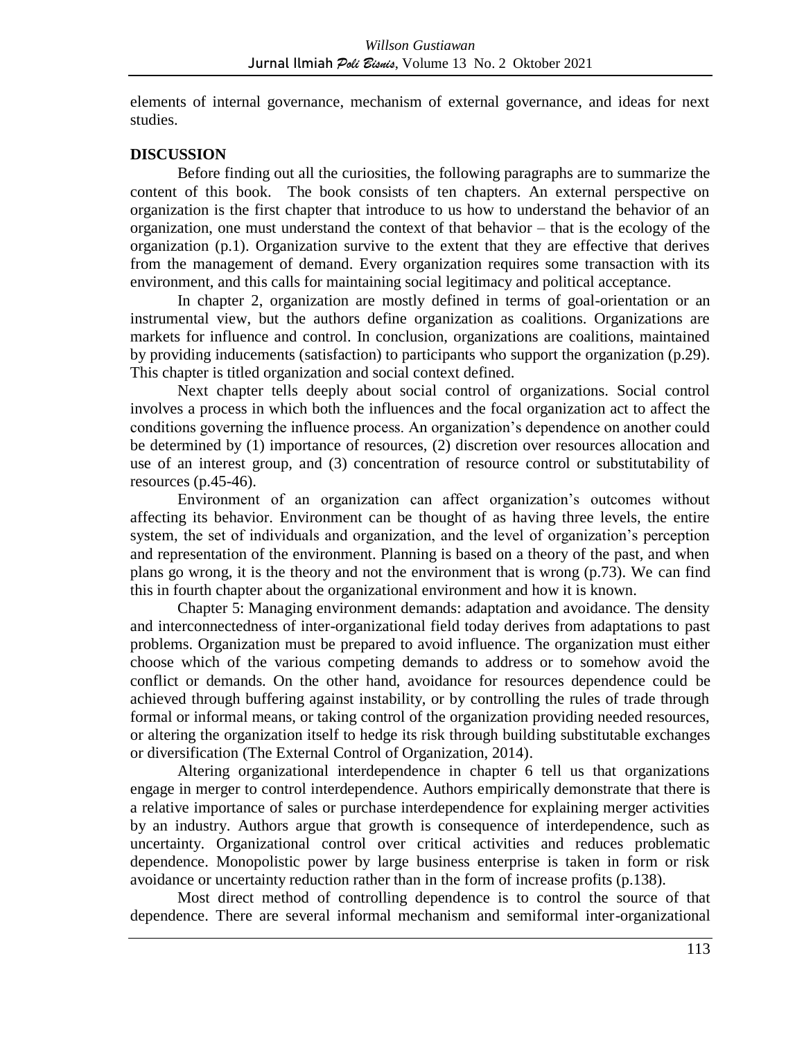elements of internal governance, mechanism of external governance, and ideas for next studies.

### **DISCUSSION**

Before finding out all the curiosities, the following paragraphs are to summarize the content of this book. The book consists of ten chapters. An external perspective on organization is the first chapter that introduce to us how to understand the behavior of an organization, one must understand the context of that behavior – that is the ecology of the organization (p.1). Organization survive to the extent that they are effective that derives from the management of demand. Every organization requires some transaction with its environment, and this calls for maintaining social legitimacy and political acceptance.

In chapter 2, organization are mostly defined in terms of goal-orientation or an instrumental view, but the authors define organization as coalitions. Organizations are markets for influence and control. In conclusion, organizations are coalitions, maintained by providing inducements (satisfaction) to participants who support the organization (p.29). This chapter is titled organization and social context defined.

Next chapter tells deeply about social control of organizations. Social control involves a process in which both the influences and the focal organization act to affect the conditions governing the influence process. An organization's dependence on another could be determined by (1) importance of resources, (2) discretion over resources allocation and use of an interest group, and (3) concentration of resource control or substitutability of resources (p.45-46).

Environment of an organization can affect organization's outcomes without affecting its behavior. Environment can be thought of as having three levels, the entire system, the set of individuals and organization, and the level of organization's perception and representation of the environment. Planning is based on a theory of the past, and when plans go wrong, it is the theory and not the environment that is wrong (p.73). We can find this in fourth chapter about the organizational environment and how it is known.

Chapter 5: Managing environment demands: adaptation and avoidance. The density and interconnectedness of inter-organizational field today derives from adaptations to past problems. Organization must be prepared to avoid influence. The organization must either choose which of the various competing demands to address or to somehow avoid the conflict or demands. On the other hand, avoidance for resources dependence could be achieved through buffering against instability, or by controlling the rules of trade through formal or informal means, or taking control of the organization providing needed resources, or altering the organization itself to hedge its risk through building substitutable exchanges or diversification (The External Control of Organization, 2014).

Altering organizational interdependence in chapter 6 tell us that organizations engage in merger to control interdependence. Authors empirically demonstrate that there is a relative importance of sales or purchase interdependence for explaining merger activities by an industry. Authors argue that growth is consequence of interdependence, such as uncertainty. Organizational control over critical activities and reduces problematic dependence. Monopolistic power by large business enterprise is taken in form or risk avoidance or uncertainty reduction rather than in the form of increase profits (p.138).

Most direct method of controlling dependence is to control the source of that dependence. There are several informal mechanism and semiformal inter-organizational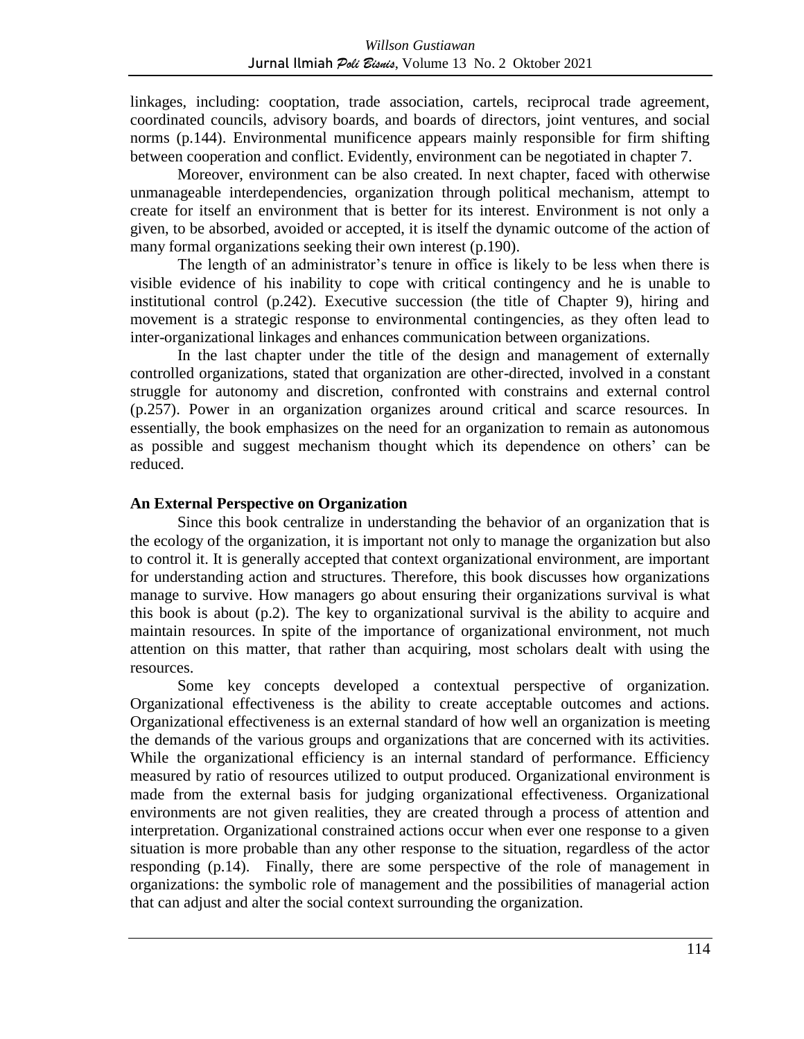linkages, including: cooptation, trade association, cartels, reciprocal trade agreement, coordinated councils, advisory boards, and boards of directors, joint ventures, and social norms (p.144). Environmental munificence appears mainly responsible for firm shifting between cooperation and conflict. Evidently, environment can be negotiated in chapter 7.

Moreover, environment can be also created. In next chapter, faced with otherwise unmanageable interdependencies, organization through political mechanism, attempt to create for itself an environment that is better for its interest. Environment is not only a given, to be absorbed, avoided or accepted, it is itself the dynamic outcome of the action of many formal organizations seeking their own interest (p.190).

The length of an administrator's tenure in office is likely to be less when there is visible evidence of his inability to cope with critical contingency and he is unable to institutional control (p.242). Executive succession (the title of Chapter 9), hiring and movement is a strategic response to environmental contingencies, as they often lead to inter-organizational linkages and enhances communication between organizations.

In the last chapter under the title of the design and management of externally controlled organizations, stated that organization are other-directed, involved in a constant struggle for autonomy and discretion, confronted with constrains and external control (p.257). Power in an organization organizes around critical and scarce resources. In essentially, the book emphasizes on the need for an organization to remain as autonomous as possible and suggest mechanism thought which its dependence on others' can be reduced.

#### **An External Perspective on Organization**

Since this book centralize in understanding the behavior of an organization that is the ecology of the organization, it is important not only to manage the organization but also to control it. It is generally accepted that context organizational environment, are important for understanding action and structures. Therefore, this book discusses how organizations manage to survive. How managers go about ensuring their organizations survival is what this book is about (p.2). The key to organizational survival is the ability to acquire and maintain resources. In spite of the importance of organizational environment, not much attention on this matter, that rather than acquiring, most scholars dealt with using the resources.

Some key concepts developed a contextual perspective of organization. Organizational effectiveness is the ability to create acceptable outcomes and actions. Organizational effectiveness is an external standard of how well an organization is meeting the demands of the various groups and organizations that are concerned with its activities. While the organizational efficiency is an internal standard of performance. Efficiency measured by ratio of resources utilized to output produced. Organizational environment is made from the external basis for judging organizational effectiveness. Organizational environments are not given realities, they are created through a process of attention and interpretation. Organizational constrained actions occur when ever one response to a given situation is more probable than any other response to the situation, regardless of the actor responding (p.14). Finally, there are some perspective of the role of management in organizations: the symbolic role of management and the possibilities of managerial action that can adjust and alter the social context surrounding the organization.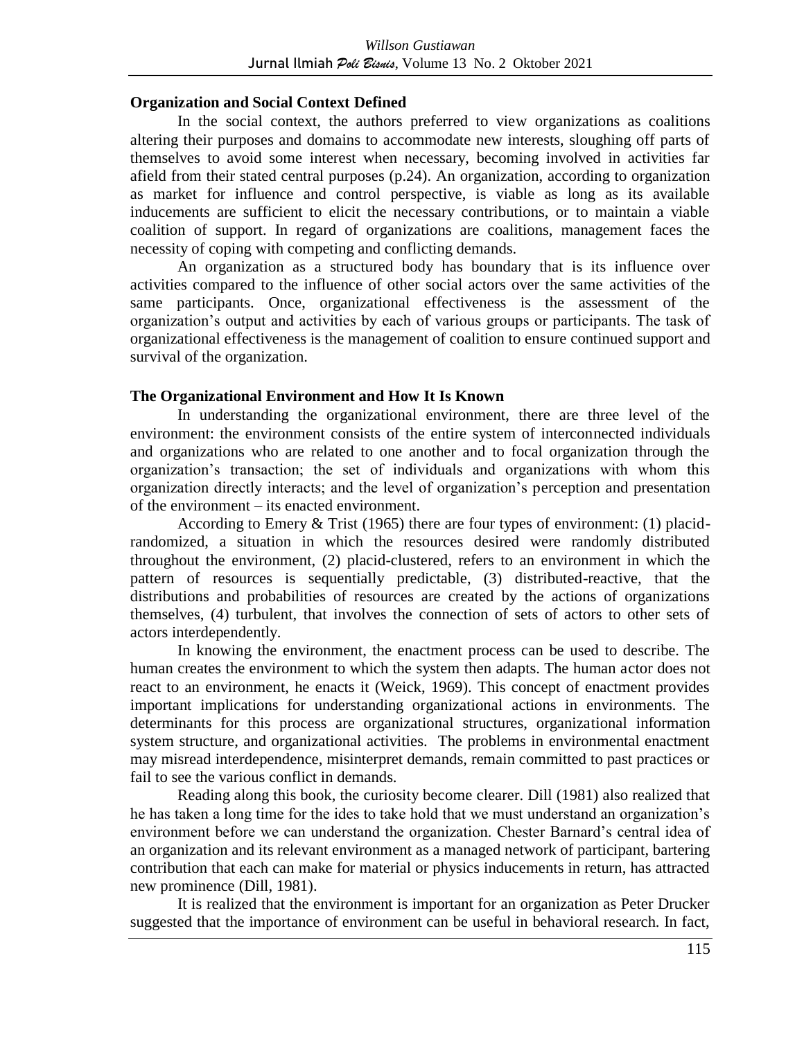#### **Organization and Social Context Defined**

In the social context, the authors preferred to view organizations as coalitions altering their purposes and domains to accommodate new interests, sloughing off parts of themselves to avoid some interest when necessary, becoming involved in activities far afield from their stated central purposes (p.24). An organization, according to organization as market for influence and control perspective, is viable as long as its available inducements are sufficient to elicit the necessary contributions, or to maintain a viable coalition of support. In regard of organizations are coalitions, management faces the necessity of coping with competing and conflicting demands.

An organization as a structured body has boundary that is its influence over activities compared to the influence of other social actors over the same activities of the same participants. Once, organizational effectiveness is the assessment of the organization's output and activities by each of various groups or participants. The task of organizational effectiveness is the management of coalition to ensure continued support and survival of the organization.

#### **The Organizational Environment and How It Is Known**

In understanding the organizational environment, there are three level of the environment: the environment consists of the entire system of interconnected individuals and organizations who are related to one another and to focal organization through the organization's transaction; the set of individuals and organizations with whom this organization directly interacts; and the level of organization's perception and presentation of the environment – its enacted environment.

According to Emery & Trist (1965) there are four types of environment: (1) placidrandomized, a situation in which the resources desired were randomly distributed throughout the environment, (2) placid-clustered, refers to an environment in which the pattern of resources is sequentially predictable, (3) distributed-reactive, that the distributions and probabilities of resources are created by the actions of organizations themselves, (4) turbulent, that involves the connection of sets of actors to other sets of actors interdependently.

In knowing the environment, the enactment process can be used to describe. The human creates the environment to which the system then adapts. The human actor does not react to an environment, he enacts it (Weick, 1969). This concept of enactment provides important implications for understanding organizational actions in environments. The determinants for this process are organizational structures, organizational information system structure, and organizational activities. The problems in environmental enactment may misread interdependence, misinterpret demands, remain committed to past practices or fail to see the various conflict in demands.

Reading along this book, the curiosity become clearer. Dill (1981) also realized that he has taken a long time for the ides to take hold that we must understand an organization's environment before we can understand the organization. Chester Barnard's central idea of an organization and its relevant environment as a managed network of participant, bartering contribution that each can make for material or physics inducements in return, has attracted new prominence (Dill, 1981).

It is realized that the environment is important for an organization as Peter Drucker suggested that the importance of environment can be useful in behavioral research. In fact,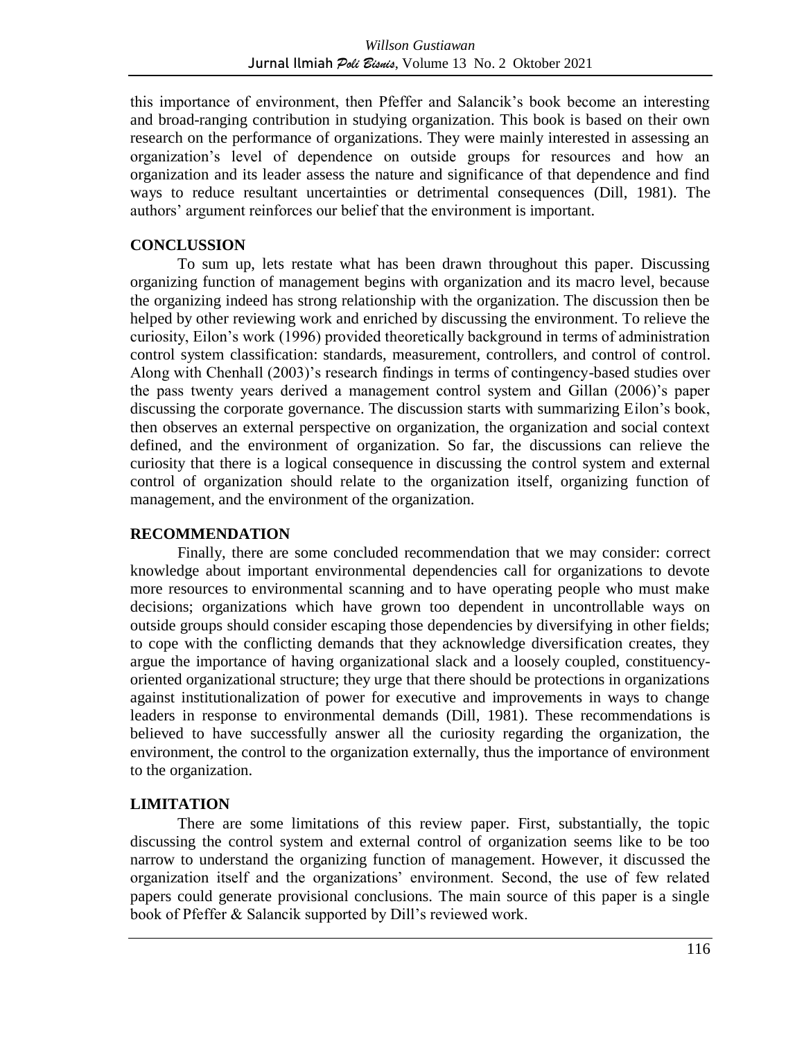this importance of environment, then Pfeffer and Salancik's book become an interesting and broad-ranging contribution in studying organization. This book is based on their own research on the performance of organizations. They were mainly interested in assessing an organization's level of dependence on outside groups for resources and how an organization and its leader assess the nature and significance of that dependence and find ways to reduce resultant uncertainties or detrimental consequences (Dill, 1981). The authors' argument reinforces our belief that the environment is important.

### **CONCLUSSION**

To sum up, lets restate what has been drawn throughout this paper. Discussing organizing function of management begins with organization and its macro level, because the organizing indeed has strong relationship with the organization. The discussion then be helped by other reviewing work and enriched by discussing the environment. To relieve the curiosity, Eilon's work (1996) provided theoretically background in terms of administration control system classification: standards, measurement, controllers, and control of control. Along with Chenhall (2003)'s research findings in terms of contingency-based studies over the pass twenty years derived a management control system and Gillan (2006)'s paper discussing the corporate governance. The discussion starts with summarizing Eilon's book, then observes an external perspective on organization, the organization and social context defined, and the environment of organization. So far, the discussions can relieve the curiosity that there is a logical consequence in discussing the control system and external control of organization should relate to the organization itself, organizing function of management, and the environment of the organization.

## **RECOMMENDATION**

Finally, there are some concluded recommendation that we may consider: correct knowledge about important environmental dependencies call for organizations to devote more resources to environmental scanning and to have operating people who must make decisions; organizations which have grown too dependent in uncontrollable ways on outside groups should consider escaping those dependencies by diversifying in other fields; to cope with the conflicting demands that they acknowledge diversification creates, they argue the importance of having organizational slack and a loosely coupled, constituencyoriented organizational structure; they urge that there should be protections in organizations against institutionalization of power for executive and improvements in ways to change leaders in response to environmental demands (Dill, 1981). These recommendations is believed to have successfully answer all the curiosity regarding the organization, the environment, the control to the organization externally, thus the importance of environment to the organization.

## **LIMITATION**

There are some limitations of this review paper. First, substantially, the topic discussing the control system and external control of organization seems like to be too narrow to understand the organizing function of management. However, it discussed the organization itself and the organizations' environment. Second, the use of few related papers could generate provisional conclusions. The main source of this paper is a single book of Pfeffer & Salancik supported by Dill's reviewed work.